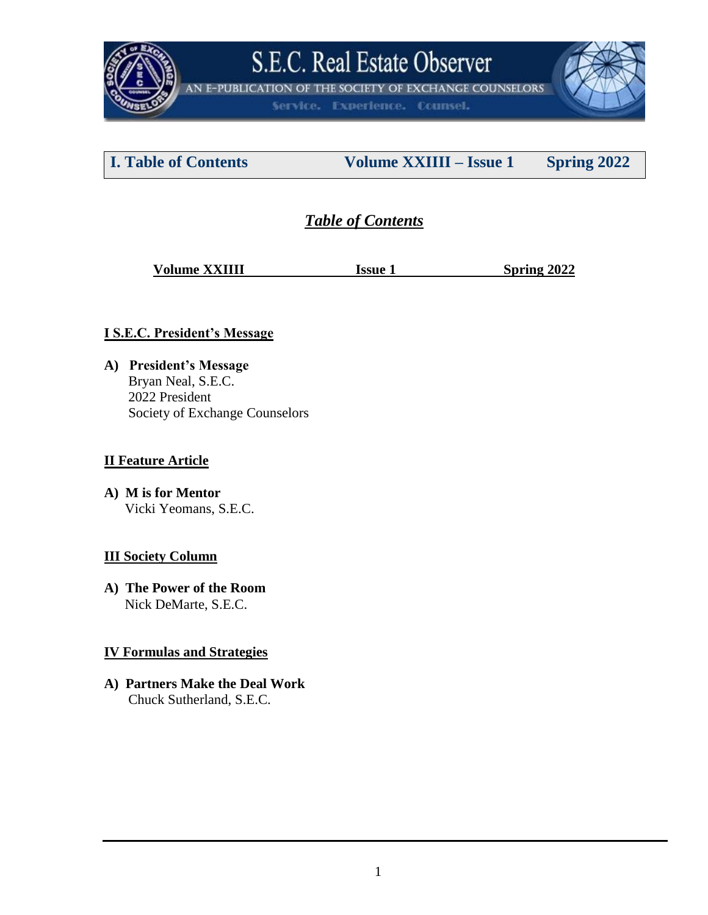

AN E-PUBLICATION OF THE SOCIETY OF EXCHANGE COUNSELORS

Service. Experience. Counsel.

**I. Table of Contents Volume XXIIII – Issue 1 Spring 2022**

## *Table of Contents*

**Volume XXIIII** Issue 1 Spring 2022

### **I S.E.C. President's Message**

**A) President's Message** Bryan Neal, S.E.C. 2022 President Society of Exchange Counselors

### **II Feature Article**

**A) M is for Mentor** Vicki Yeomans, S.E.C.

### **III Society Column**

**A) The Power of the Room** Nick DeMarte, S.E.C.

### **IV Formulas and Strategies**

**A) Partners Make the Deal Work** Chuck Sutherland, S.E.C.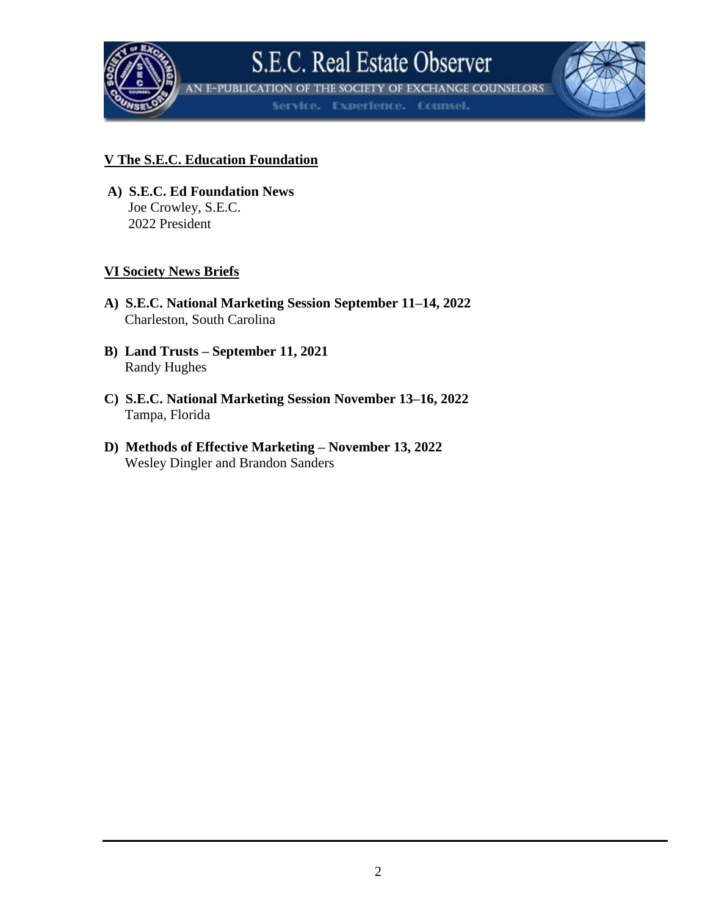

**IN E-PUBLICATION OF THE SOCIETY OF EXCHANGE COUNSELORS** 

Service. Experience. Counsel.

### **V The S.E.C. Education Foundation**

**A) S.E.C. Ed Foundation News** Joe Crowley, S.E.C. 2022 President

### **VI Society News Briefs**

- **A) S.E.C. National Marketing Session September 11–14, 2022** Charleston, South Carolina
- **B) Land Trusts – September 11, 2021** Randy Hughes
- **C) S.E.C. National Marketing Session November 13–16, 2022** Tampa, Florida
- **D) Methods of Effective Marketing – November 13, 2022** Wesley Dingler and Brandon Sanders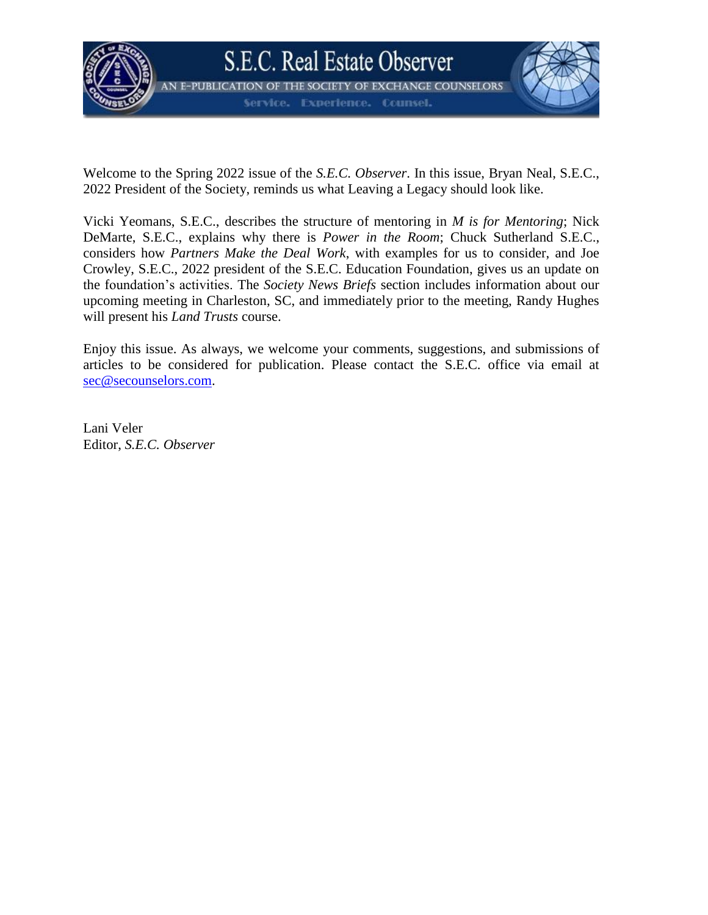

Welcome to the Spring 2022 issue of the *S.E.C. Observer*. In this issue, Bryan Neal, S.E.C., 2022 President of the Society, reminds us what Leaving a Legacy should look like.

Vicki Yeomans, S.E.C., describes the structure of mentoring in *M is for Mentoring*; Nick DeMarte, S.E.C., explains why there is *Power in the Room*; Chuck Sutherland S.E.C., considers how *Partners Make the Deal Work*, with examples for us to consider, and Joe Crowley, S.E.C., 2022 president of the S.E.C. Education Foundation, gives us an update on the foundation's activities. The *Society News Briefs* section includes information about our upcoming meeting in Charleston, SC, and immediately prior to the meeting, Randy Hughes will present his *Land Trusts* course.

Enjoy this issue. As always, we welcome your comments, suggestions, and submissions of articles to be considered for publication. Please contact the S.E.C. office via email at [sec@secounselors.com.](mailto:sec@secounselors.com)

Lani Veler Editor, *S.E.C. Observer*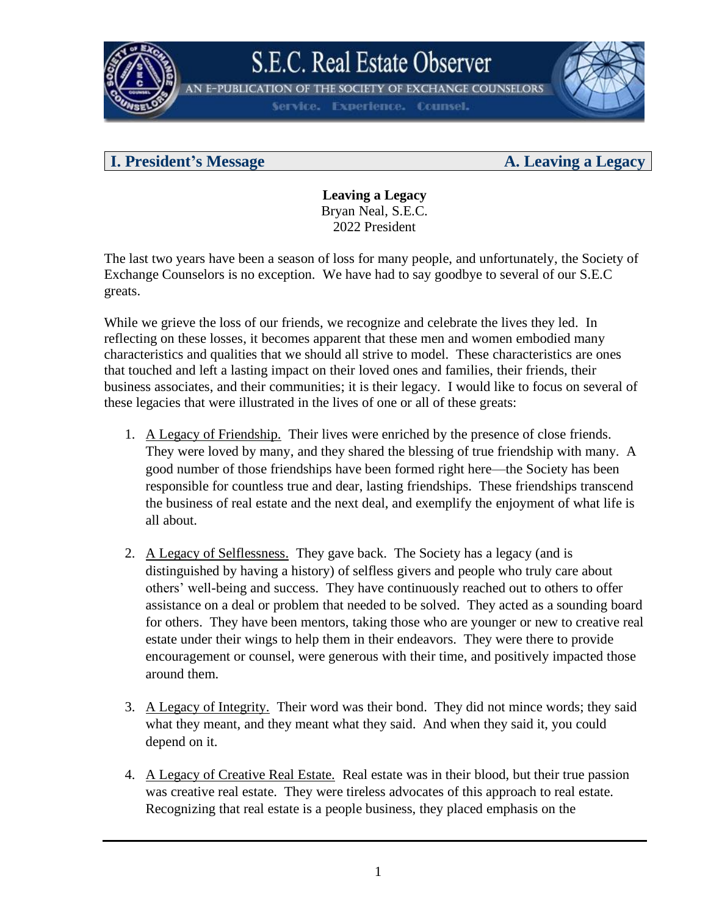

**E-PUBLICATION** THE SOCIETY OF EXCHANGE COUNSELORS

**Experience. Counsel.** 

### **I. President's Message A. Leaving a Legacy**

**Leaving a Legacy** Bryan Neal, S.E.C. 2022 President

The last two years have been a season of loss for many people, and unfortunately, the Society of Exchange Counselors is no exception. We have had to say goodbye to several of our S.E.C greats.

While we grieve the loss of our friends, we recognize and celebrate the lives they led. In reflecting on these losses, it becomes apparent that these men and women embodied many characteristics and qualities that we should all strive to model. These characteristics are ones that touched and left a lasting impact on their loved ones and families, their friends, their business associates, and their communities; it is their legacy. I would like to focus on several of these legacies that were illustrated in the lives of one or all of these greats:

- 1. A Legacy of Friendship. Their lives were enriched by the presence of close friends. They were loved by many, and they shared the blessing of true friendship with many. A good number of those friendships have been formed right here—the Society has been responsible for countless true and dear, lasting friendships. These friendships transcend the business of real estate and the next deal, and exemplify the enjoyment of what life is all about.
- 2. A Legacy of Selflessness. They gave back. The Society has a legacy (and is distinguished by having a history) of selfless givers and people who truly care about others' well-being and success. They have continuously reached out to others to offer assistance on a deal or problem that needed to be solved. They acted as a sounding board for others. They have been mentors, taking those who are younger or new to creative real estate under their wings to help them in their endeavors. They were there to provide encouragement or counsel, were generous with their time, and positively impacted those around them.
- 3. A Legacy of Integrity. Their word was their bond. They did not mince words; they said what they meant, and they meant what they said. And when they said it, you could depend on it.
- 4. A Legacy of Creative Real Estate. Real estate was in their blood, but their true passion was creative real estate. They were tireless advocates of this approach to real estate. Recognizing that real estate is a people business, they placed emphasis on the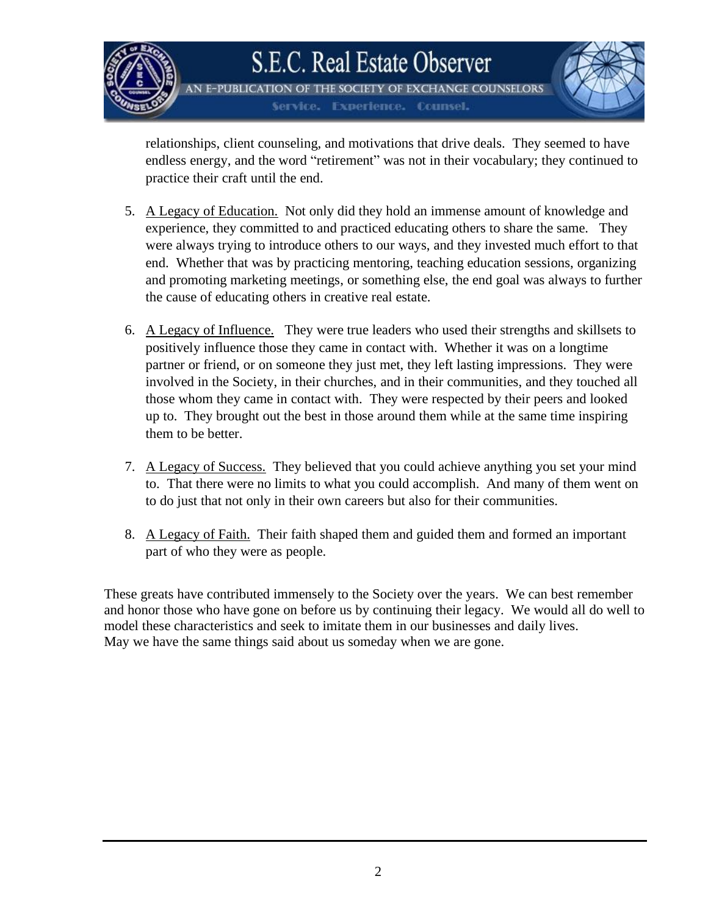

THE SOCIETY OF EXCHANGE COUNSELORS E-PUBLICATION **Experience. Counsel.** 

relationships, client counseling, and motivations that drive deals. They seemed to have endless energy, and the word "retirement" was not in their vocabulary; they continued to practice their craft until the end.

- 5. A Legacy of Education. Not only did they hold an immense amount of knowledge and experience, they committed to and practiced educating others to share the same. They were always trying to introduce others to our ways, and they invested much effort to that end. Whether that was by practicing mentoring, teaching education sessions, organizing and promoting marketing meetings, or something else, the end goal was always to further the cause of educating others in creative real estate.
- 6. A Legacy of Influence. They were true leaders who used their strengths and skillsets to positively influence those they came in contact with. Whether it was on a longtime partner or friend, or on someone they just met, they left lasting impressions. They were involved in the Society, in their churches, and in their communities, and they touched all those whom they came in contact with. They were respected by their peers and looked up to. They brought out the best in those around them while at the same time inspiring them to be better.
- 7. A Legacy of Success. They believed that you could achieve anything you set your mind to. That there were no limits to what you could accomplish. And many of them went on to do just that not only in their own careers but also for their communities.
- 8. A Legacy of Faith. Their faith shaped them and guided them and formed an important part of who they were as people.

These greats have contributed immensely to the Society over the years. We can best remember and honor those who have gone on before us by continuing their legacy. We would all do well to model these characteristics and seek to imitate them in our businesses and daily lives. May we have the same things said about us someday when we are gone.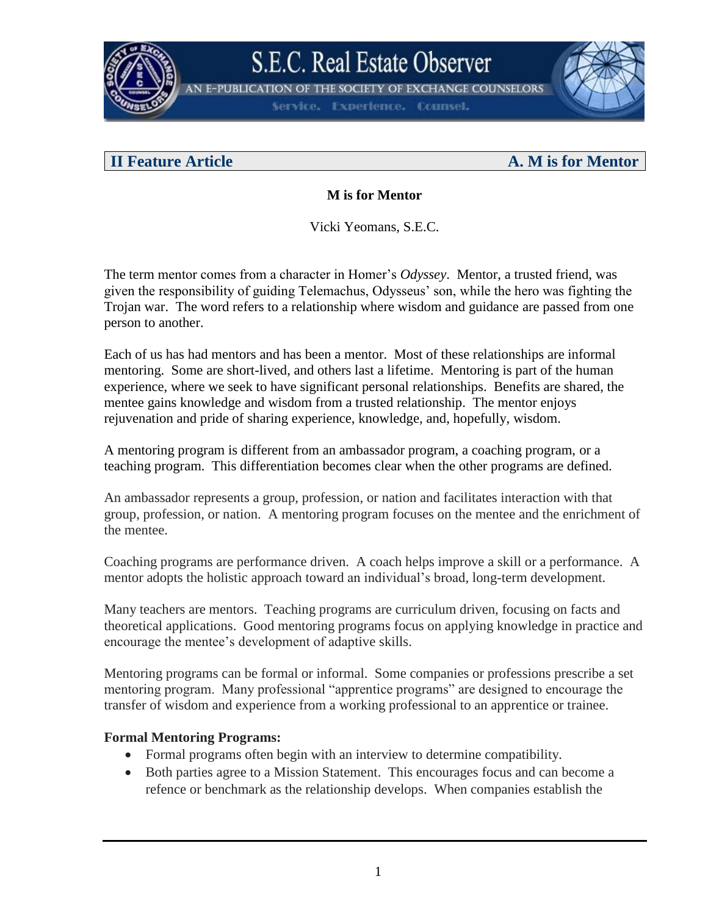

**N E-PUBLICATION OF THE SOCIETY OF EXCHANGE COUNSELORS** 

**Experience. Counsel.** 

### **II Feature Article A. M is for Mentor**

### **M is for Mentor**

Vicki Yeomans, S.E.C.

The term mentor comes from a character in Homer's *Odyssey*. Mentor, a trusted friend, was given the responsibility of guiding Telemachus, Odysseus' son, while the hero was fighting the Trojan war. The word refers to a relationship where wisdom and guidance are passed from one person to another.

Each of us has had mentors and has been a mentor. Most of these relationships are informal mentoring. Some are short-lived, and others last a lifetime. Mentoring is part of the human experience, where we seek to have significant personal relationships. Benefits are shared, the mentee gains knowledge and wisdom from a trusted relationship. The mentor enjoys rejuvenation and pride of sharing experience, knowledge, and, hopefully, wisdom.

A mentoring program is different from an ambassador program, a coaching program, or a teaching program. This differentiation becomes clear when the other programs are defined.

An ambassador represents a group, profession, or nation and facilitates interaction with that group, profession, or nation. A mentoring program focuses on the mentee and the enrichment of the mentee.

Coaching programs are performance driven. A coach helps improve a skill or a performance. A mentor adopts the holistic approach toward an individual's broad, long-term development.

Many teachers are mentors. Teaching programs are curriculum driven, focusing on facts and theoretical applications. Good mentoring programs focus on applying knowledge in practice and encourage the mentee's development of adaptive skills.

Mentoring programs can be formal or informal. Some companies or professions prescribe a set mentoring program. Many professional "apprentice programs" are designed to encourage the transfer of wisdom and experience from a working professional to an apprentice or trainee.

### **Formal Mentoring Programs:**

- Formal programs often begin with an interview to determine compatibility.
- Both parties agree to a Mission Statement. This encourages focus and can become a refence or benchmark as the relationship develops. When companies establish the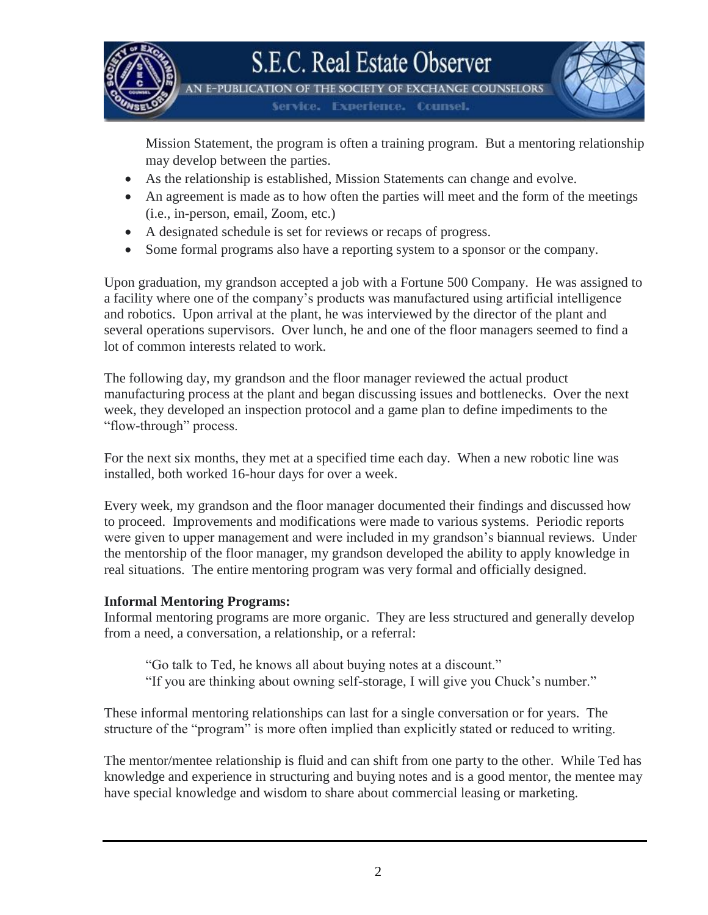

IN E-PUBLICATION OF THE SOCIETY OF EXCHANGE COUNSELORS

Service: **Experience. Counsel.** 

Mission Statement, the program is often a training program. But a mentoring relationship may develop between the parties.

- As the relationship is established, Mission Statements can change and evolve.
- An agreement is made as to how often the parties will meet and the form of the meetings (i.e., in-person, email, Zoom, etc.)
- A designated schedule is set for reviews or recaps of progress.
- Some formal programs also have a reporting system to a sponsor or the company.

Upon graduation, my grandson accepted a job with a Fortune 500 Company. He was assigned to a facility where one of the company's products was manufactured using artificial intelligence and robotics. Upon arrival at the plant, he was interviewed by the director of the plant and several operations supervisors. Over lunch, he and one of the floor managers seemed to find a lot of common interests related to work.

The following day, my grandson and the floor manager reviewed the actual product manufacturing process at the plant and began discussing issues and bottlenecks. Over the next week, they developed an inspection protocol and a game plan to define impediments to the "flow-through" process.

For the next six months, they met at a specified time each day. When a new robotic line was installed, both worked 16-hour days for over a week.

Every week, my grandson and the floor manager documented their findings and discussed how to proceed. Improvements and modifications were made to various systems. Periodic reports were given to upper management and were included in my grandson's biannual reviews. Under the mentorship of the floor manager, my grandson developed the ability to apply knowledge in real situations. The entire mentoring program was very formal and officially designed.

### **Informal Mentoring Programs:**

Informal mentoring programs are more organic. They are less structured and generally develop from a need, a conversation, a relationship, or a referral:

"Go talk to Ted, he knows all about buying notes at a discount."

"If you are thinking about owning self-storage, I will give you Chuck's number."

These informal mentoring relationships can last for a single conversation or for years. The structure of the "program" is more often implied than explicitly stated or reduced to writing.

The mentor/mentee relationship is fluid and can shift from one party to the other. While Ted has knowledge and experience in structuring and buying notes and is a good mentor, the mentee may have special knowledge and wisdom to share about commercial leasing or marketing.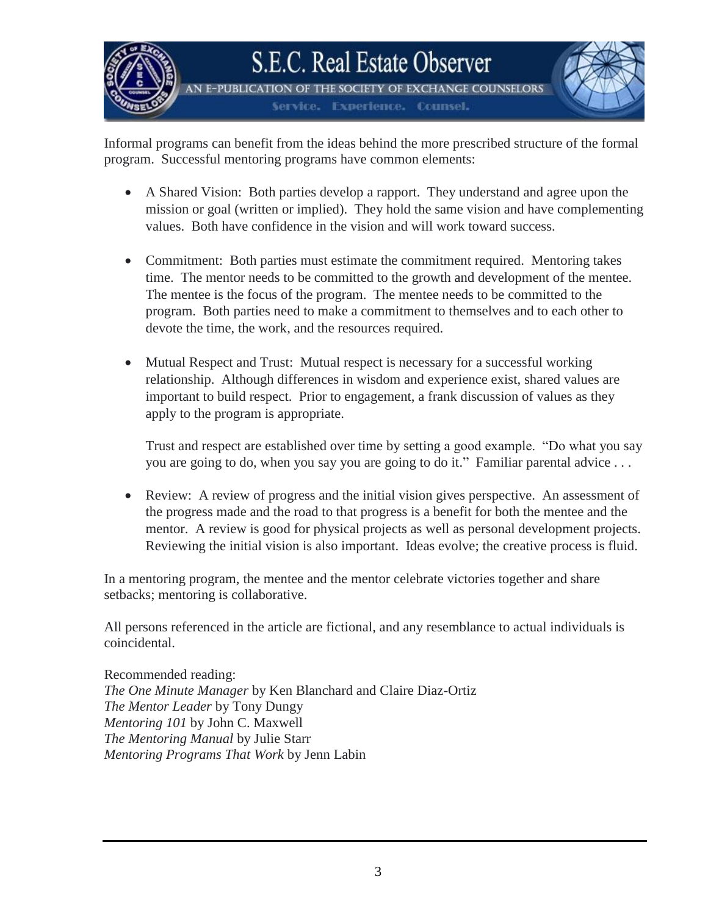

**N E-PUBLICATION OF THE SOCIETY OF EXCHANGE COUNSELORS Experience. Counsel.** Service -



Informal programs can benefit from the ideas behind the more prescribed structure of the formal program. Successful mentoring programs have common elements:

- A Shared Vision: Both parties develop a rapport. They understand and agree upon the mission or goal (written or implied). They hold the same vision and have complementing values. Both have confidence in the vision and will work toward success.
- Commitment: Both parties must estimate the commitment required. Mentoring takes time. The mentor needs to be committed to the growth and development of the mentee. The mentee is the focus of the program. The mentee needs to be committed to the program. Both parties need to make a commitment to themselves and to each other to devote the time, the work, and the resources required.
- Mutual Respect and Trust: Mutual respect is necessary for a successful working relationship. Although differences in wisdom and experience exist, shared values are important to build respect. Prior to engagement, a frank discussion of values as they apply to the program is appropriate.

Trust and respect are established over time by setting a good example. "Do what you say you are going to do, when you say you are going to do it." Familiar parental advice . . .

• Review: A review of progress and the initial vision gives perspective. An assessment of the progress made and the road to that progress is a benefit for both the mentee and the mentor. A review is good for physical projects as well as personal development projects. Reviewing the initial vision is also important. Ideas evolve; the creative process is fluid.

In a mentoring program, the mentee and the mentor celebrate victories together and share setbacks; mentoring is collaborative.

All persons referenced in the article are fictional, and any resemblance to actual individuals is coincidental.

Recommended reading: *The One Minute Manager* by Ken Blanchard and Claire Diaz-Ortiz *The Mentor Leader* by Tony Dungy *Mentoring 101* by John C. Maxwell *The Mentoring Manual* by Julie Starr *Mentoring Programs That Work* by Jenn Labin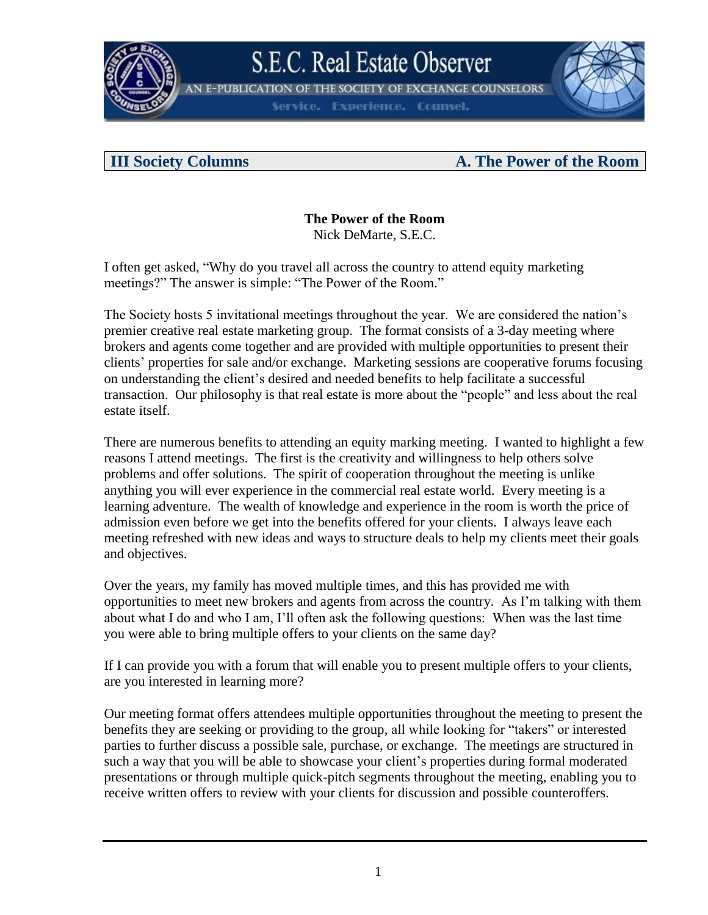

**N E-PUBLICATION OF THE SOCIETY OF EXCHANGE COUNSELORS** 

**Experience. Counsel.** 

### **III Society Columns A. The Power of the Room**

## **The Power of the Room**

Nick DeMarte, S.E.C.

I often get asked, "Why do you travel all across the country to attend equity marketing meetings?" The answer is simple: "The Power of the Room."

The Society hosts 5 invitational meetings throughout the year. We are considered the nation's premier creative real estate marketing group. The format consists of a 3-day meeting where brokers and agents come together and are provided with multiple opportunities to present their clients' properties for sale and/or exchange. Marketing sessions are cooperative forums focusing on understanding the client's desired and needed benefits to help facilitate a successful transaction. Our philosophy is that real estate is more about the "people" and less about the real estate itself.

There are numerous benefits to attending an equity marking meeting. I wanted to highlight a few reasons I attend meetings. The first is the creativity and willingness to help others solve problems and offer solutions. The spirit of cooperation throughout the meeting is unlike anything you will ever experience in the commercial real estate world. Every meeting is a learning adventure. The wealth of knowledge and experience in the room is worth the price of admission even before we get into the benefits offered for your clients. I always leave each meeting refreshed with new ideas and ways to structure deals to help my clients meet their goals and objectives.

Over the years, my family has moved multiple times, and this has provided me with opportunities to meet new brokers and agents from across the country. As I'm talking with them about what I do and who I am, I'll often ask the following questions: When was the last time you were able to bring multiple offers to your clients on the same day?

If I can provide you with a forum that will enable you to present multiple offers to your clients, are you interested in learning more?

Our meeting format offers attendees multiple opportunities throughout the meeting to present the benefits they are seeking or providing to the group, all while looking for "takers" or interested parties to further discuss a possible sale, purchase, or exchange. The meetings are structured in such a way that you will be able to showcase your client's properties during formal moderated presentations or through multiple quick-pitch segments throughout the meeting, enabling you to receive written offers to review with your clients for discussion and possible counteroffers.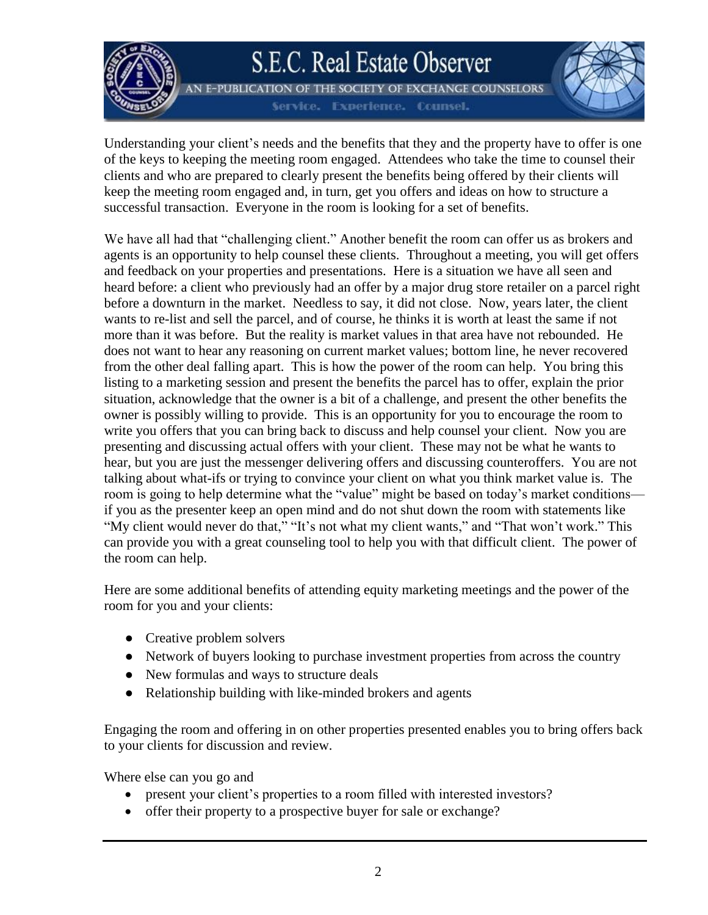

AN E-PUBLICATION OF THE SOCIETY OF EXCHANGE COUNSELORS **Experience. Counsel.** 



Understanding your client's needs and the benefits that they and the property have to offer is one of the keys to keeping the meeting room engaged. Attendees who take the time to counsel their clients and who are prepared to clearly present the benefits being offered by their clients will keep the meeting room engaged and, in turn, get you offers and ideas on how to structure a successful transaction. Everyone in the room is looking for a set of benefits.

We have all had that "challenging client." Another benefit the room can offer us as brokers and agents is an opportunity to help counsel these clients. Throughout a meeting, you will get offers and feedback on your properties and presentations. Here is a situation we have all seen and heard before: a client who previously had an offer by a major drug store retailer on a parcel right before a downturn in the market. Needless to say, it did not close. Now, years later, the client wants to re-list and sell the parcel, and of course, he thinks it is worth at least the same if not more than it was before. But the reality is market values in that area have not rebounded. He does not want to hear any reasoning on current market values; bottom line, he never recovered from the other deal falling apart. This is how the power of the room can help. You bring this listing to a marketing session and present the benefits the parcel has to offer, explain the prior situation, acknowledge that the owner is a bit of a challenge, and present the other benefits the owner is possibly willing to provide. This is an opportunity for you to encourage the room to write you offers that you can bring back to discuss and help counsel your client. Now you are presenting and discussing actual offers with your client. These may not be what he wants to hear, but you are just the messenger delivering offers and discussing counteroffers. You are not talking about what-ifs or trying to convince your client on what you think market value is. The room is going to help determine what the "value" might be based on today's market conditions if you as the presenter keep an open mind and do not shut down the room with statements like "My client would never do that," "It's not what my client wants," and "That won't work." This can provide you with a great counseling tool to help you with that difficult client. The power of the room can help.

Here are some additional benefits of attending equity marketing meetings and the power of the room for you and your clients:

- Creative problem solvers
- Network of buyers looking to purchase investment properties from across the country
- New formulas and ways to structure deals
- Relationship building with like-minded brokers and agents

Engaging the room and offering in on other properties presented enables you to bring offers back to your clients for discussion and review.

Where else can you go and

- present your client's properties to a room filled with interested investors?
- offer their property to a prospective buyer for sale or exchange?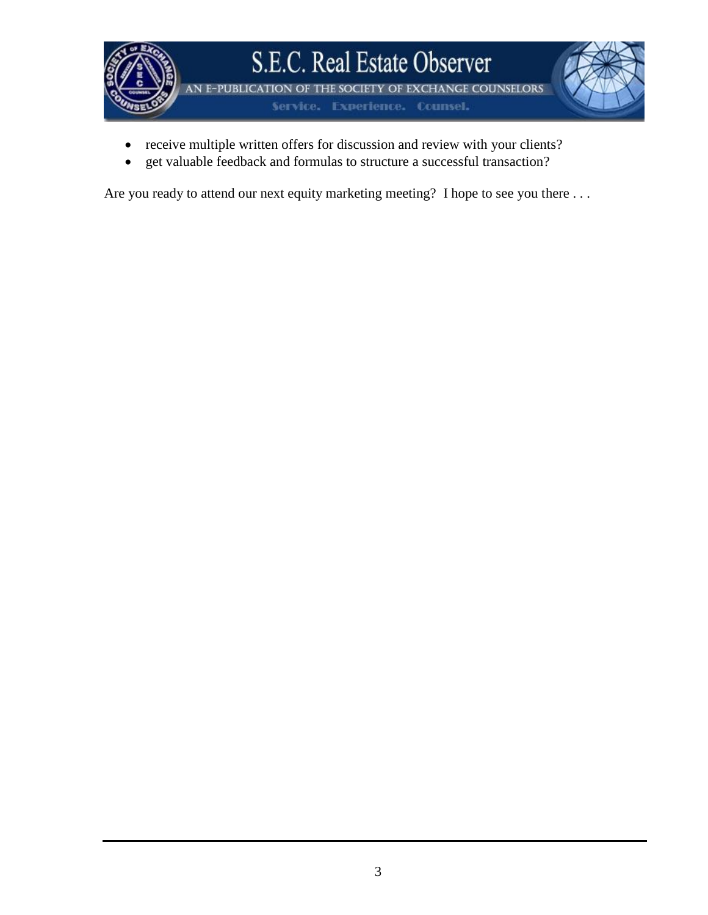

- receive multiple written offers for discussion and review with your clients?
- get valuable feedback and formulas to structure a successful transaction?

Are you ready to attend our next equity marketing meeting? I hope to see you there ...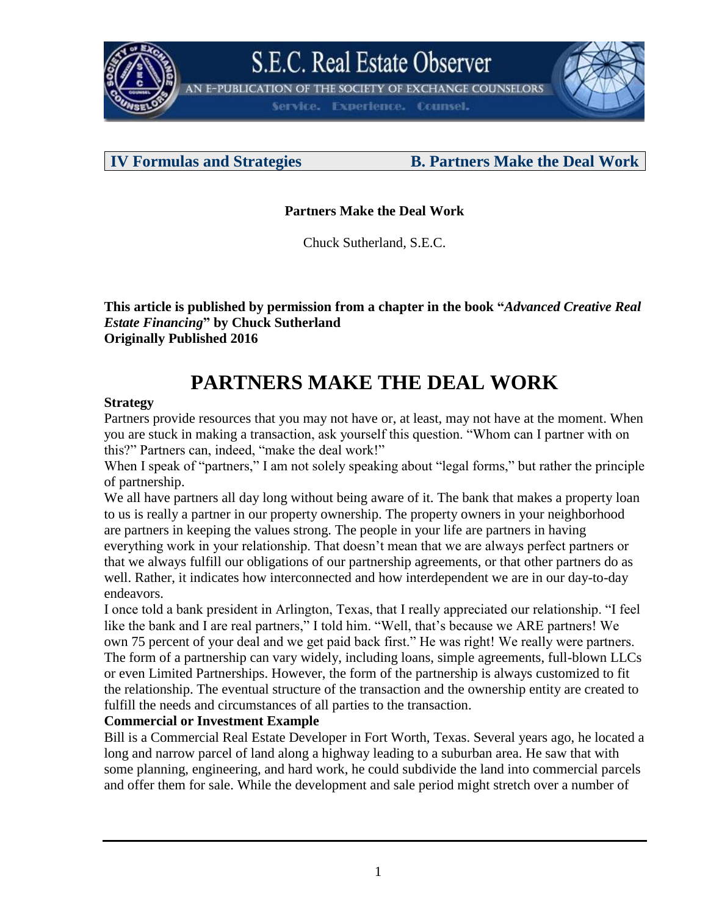

N E-PUBLICATION OF THE SOCIETY OF EXCHANGE COUNSELORS

**Experience. Counsel.** 

### **IV Formulas and Strategies B. Partners Make the Deal Work**

### **Partners Make the Deal Work**

Chuck Sutherland, S.E.C.

**This article is published by permission from a chapter in the book "***Advanced Creative Real Estate Financing***" by Chuck Sutherland Originally Published 2016**

## **PARTNERS MAKE THE DEAL WORK**

### **Strategy**

Partners provide resources that you may not have or, at least, may not have at the moment. When you are stuck in making a transaction, ask yourself this question. "Whom can I partner with on this?" Partners can, indeed, "make the deal work!"

When I speak of "partners," I am not solely speaking about "legal forms," but rather the principle of partnership.

We all have partners all day long without being aware of it. The bank that makes a property loan to us is really a partner in our property ownership. The property owners in your neighborhood are partners in keeping the values strong. The people in your life are partners in having everything work in your relationship. That doesn't mean that we are always perfect partners or that we always fulfill our obligations of our partnership agreements, or that other partners do as well. Rather, it indicates how interconnected and how interdependent we are in our day-to-day endeavors.

I once told a bank president in Arlington, Texas, that I really appreciated our relationship. "I feel like the bank and I are real partners," I told him. "Well, that's because we ARE partners! We own 75 percent of your deal and we get paid back first." He was right! We really were partners. The form of a partnership can vary widely, including loans, simple agreements, full-blown LLCs or even Limited Partnerships. However, the form of the partnership is always customized to fit the relationship. The eventual structure of the transaction and the ownership entity are created to fulfill the needs and circumstances of all parties to the transaction.

### **Commercial or Investment Example**

Bill is a Commercial Real Estate Developer in Fort Worth, Texas. Several years ago, he located a long and narrow parcel of land along a highway leading to a suburban area. He saw that with some planning, engineering, and hard work, he could subdivide the land into commercial parcels and offer them for sale. While the development and sale period might stretch over a number of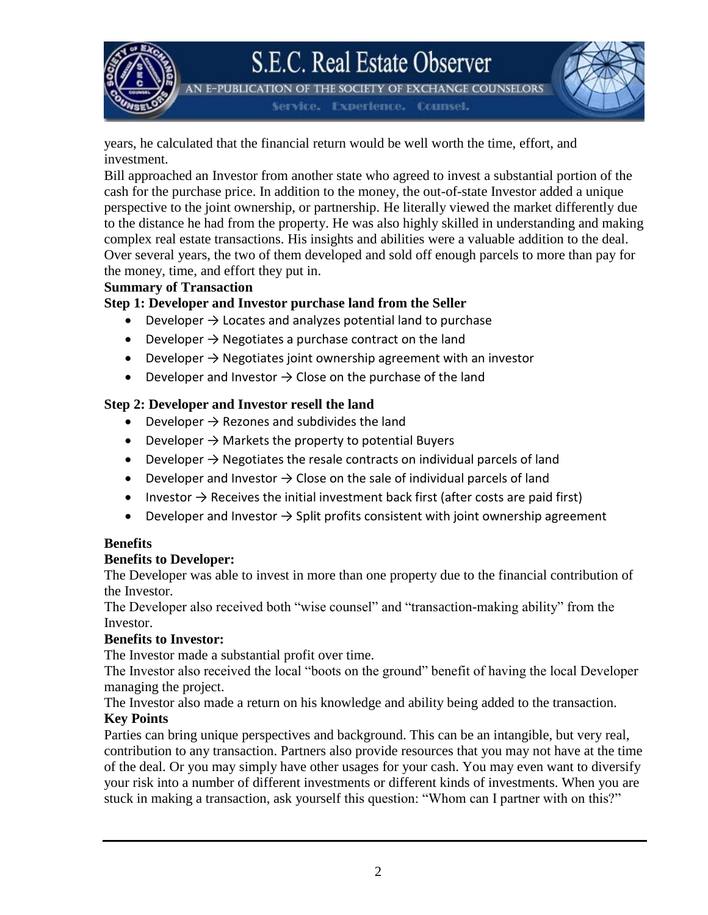AN E-PUBLICATION OF THE SOCIETY OF EXCHANGE COUNSELORS

Service, Experience, Counsel.

years, he calculated that the financial return would be well worth the time, effort, and investment.

Bill approached an Investor from another state who agreed to invest a substantial portion of the cash for the purchase price. In addition to the money, the out-of-state Investor added a unique perspective to the joint ownership, or partnership. He literally viewed the market differently due to the distance he had from the property. He was also highly skilled in understanding and making complex real estate transactions. His insights and abilities were a valuable addition to the deal. Over several years, the two of them developed and sold off enough parcels to more than pay for the money, time, and effort they put in.

#### **Summary of Transaction**

### **Step 1: Developer and Investor purchase land from the Seller**

- Developer  $\rightarrow$  Locates and analyzes potential land to purchase
- Developer  $\rightarrow$  Negotiates a purchase contract on the land
- Developer  $\rightarrow$  Negotiates joint ownership agreement with an investor
- Developer and Investor  $\rightarrow$  Close on the purchase of the land

### **Step 2: Developer and Investor resell the land**

- Developer  $\rightarrow$  Rezones and subdivides the land
- Developer  $\rightarrow$  Markets the property to potential Buyers
- Developer  $\rightarrow$  Negotiates the resale contracts on individual parcels of land
- Developer and Investor  $\rightarrow$  Close on the sale of individual parcels of land
- Investor  $\rightarrow$  Receives the initial investment back first (after costs are paid first)
- Developer and Investor  $\rightarrow$  Split profits consistent with joint ownership agreement

### **Benefits**

### **Benefits to Developer:**

The Developer was able to invest in more than one property due to the financial contribution of the Investor.

The Developer also received both "wise counsel" and "transaction-making ability" from the Investor.

### **Benefits to Investor:**

The Investor made a substantial profit over time.

The Investor also received the local "boots on the ground" benefit of having the local Developer managing the project.

The Investor also made a return on his knowledge and ability being added to the transaction. **Key Points**

Parties can bring unique perspectives and background. This can be an intangible, but very real, contribution to any transaction. Partners also provide resources that you may not have at the time of the deal. Or you may simply have other usages for your cash. You may even want to diversify your risk into a number of different investments or different kinds of investments. When you are stuck in making a transaction, ask yourself this question: "Whom can I partner with on this?"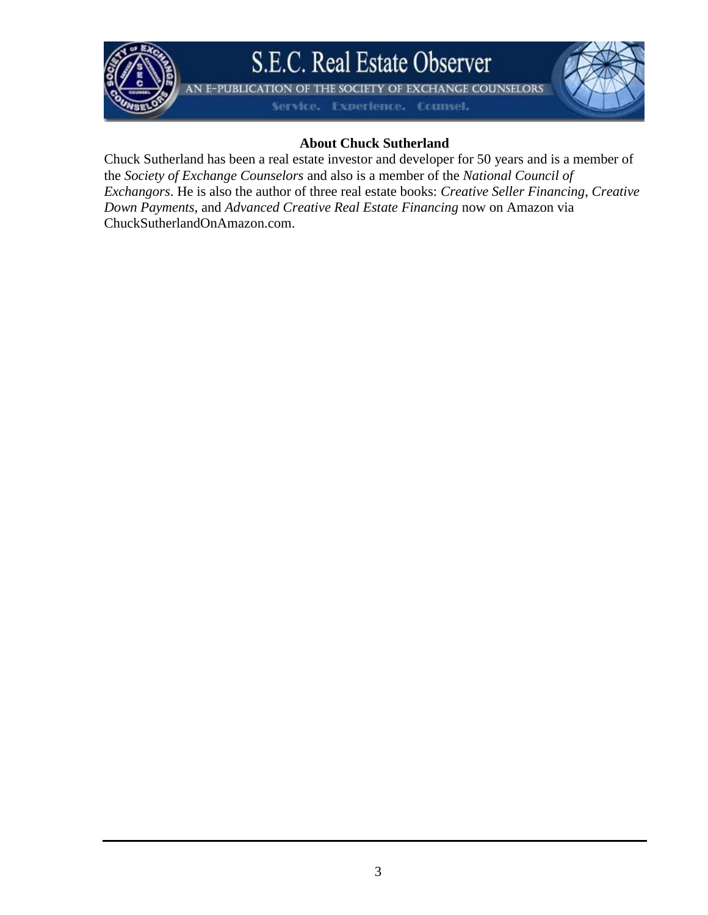

AN E-PUBLICATION OF THE SOCIETY OF EXCHANGE COUNSELORS

Service. Experience. Counsel.

### **About Chuck Sutherland**

Chuck Sutherland has been a real estate investor and developer for 50 years and is a member of the *Society of Exchange Counselors* and also is a member of the *National Council of Exchangors*. He is also the author of three real estate books: *Creative Seller Financing*, *Creative Down Payments*, and *Advanced Creative Real Estate Financing* now on Amazon via ChuckSutherlandOnAmazon.com.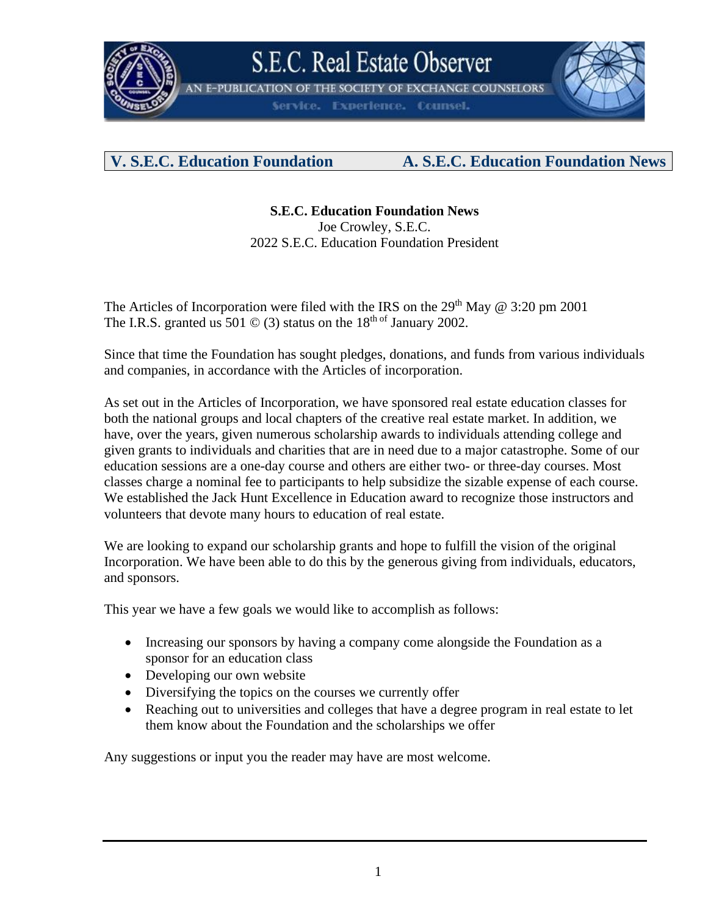

THE SOCIETY OF EXCHANGE COUNSELORS

**Experience. Counsel.** 

## **V. S.E.C. Education Foundation A. S.E.C. Education Foundation News**

**S.E.C. Education Foundation News** Joe Crowley, S.E.C. 2022 S.E.C. Education Foundation President

The Articles of Incorporation were filed with the IRS on the  $29<sup>th</sup>$  May @ 3:20 pm 2001 The I.R.S. granted us 501  $\odot$  (3) status on the 18<sup>th of</sup> January 2002.

Since that time the Foundation has sought pledges, donations, and funds from various individuals and companies, in accordance with the Articles of incorporation.

As set out in the Articles of Incorporation, we have sponsored real estate education classes for both the national groups and local chapters of the creative real estate market. In addition, we have, over the years, given numerous scholarship awards to individuals attending college and given grants to individuals and charities that are in need due to a major catastrophe. Some of our education sessions are a one-day course and others are either two- or three-day courses. Most classes charge a nominal fee to participants to help subsidize the sizable expense of each course. We established the Jack Hunt Excellence in Education award to recognize those instructors and volunteers that devote many hours to education of real estate.

We are looking to expand our scholarship grants and hope to fulfill the vision of the original Incorporation. We have been able to do this by the generous giving from individuals, educators, and sponsors.

This year we have a few goals we would like to accomplish as follows:

- Increasing our sponsors by having a company come alongside the Foundation as a sponsor for an education class
- Developing our own website
- Diversifying the topics on the courses we currently offer
- Reaching out to universities and colleges that have a degree program in real estate to let them know about the Foundation and the scholarships we offer

Any suggestions or input you the reader may have are most welcome.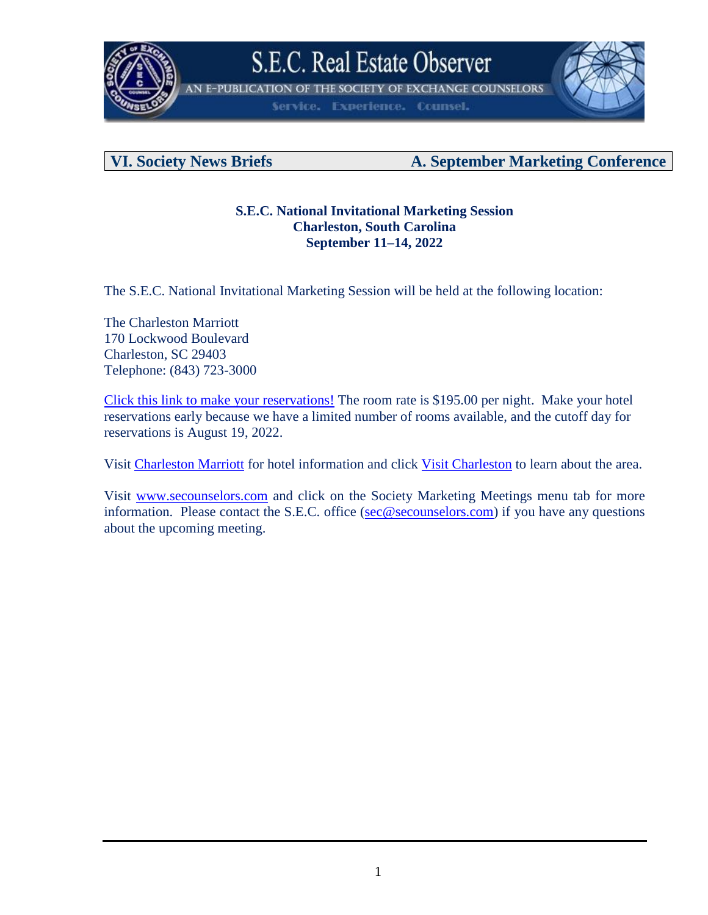

N E-PUBLICATION OF THE SOCIETY OF EXCHANGE COUNSELORS

Service. **Experience. Counsel.** 



### **VI. Society News Briefs A. September Marketing Conference**

### **S.E.C. National Invitational Marketing Session Charleston, South Carolina September 11–14, 2022**

The S.E.C. National Invitational Marketing Session will be held at the following location:

The Charleston Marriott 170 Lockwood Boulevard Charleston, SC 29403 Telephone: (843) 723-3000

[Click this link to make your reservations!](https://www.marriott.com/en-us/hotels/chsmc-charleston-marriott/overview/) The room rate is \$195.00 per night. Make your hotel reservations early because we have a limited number of rooms available, and the cutoff day for reservations is August 19, 2022.

Visit [Charleston Marriott](https://www.marriott.com/en-us/hotels/chsmc-charleston-marriott/overview/) for hotel information and click [Visit Charleston](https://www.charlestoncvb.com/) to learn about the area.

Visit [www.secounselors.com](http://www.secounselors.com/) and click on the Society Marketing Meetings menu tab for more information. Please contact the S.E.C. office [\(sec@secounselors.com\)](mailto:sec@secounselors.com) if you have any questions about the upcoming meeting.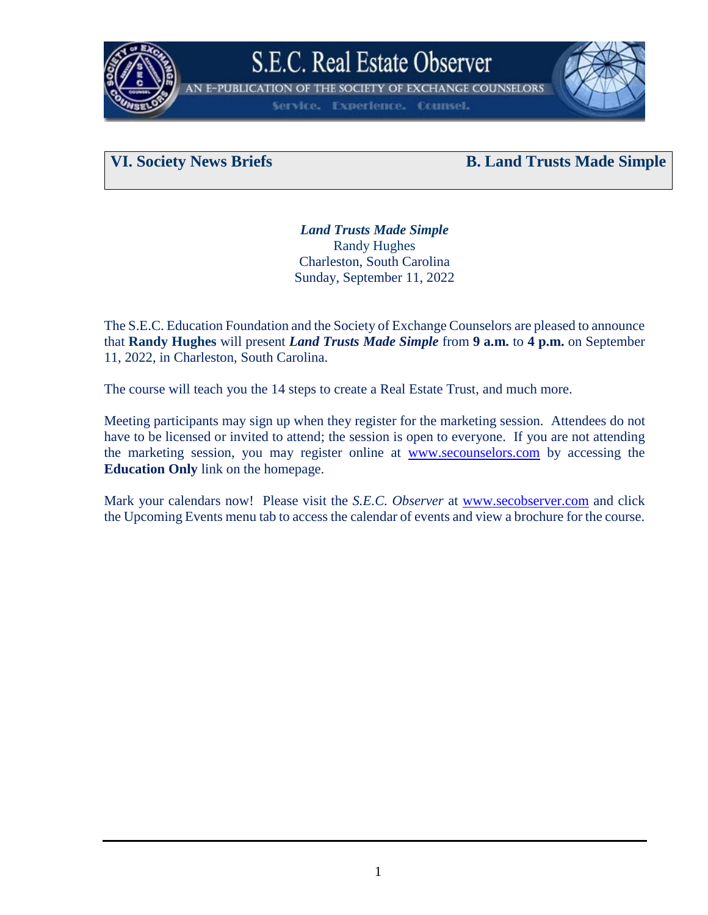

THE SOCIETY OF EXCHANGE COUNSELORS **E-PUBLICATION OF** 

**Experience. Counsel.** 

### **VI. Society News Briefs B. Land Trusts Made Simple**

*Land Trusts Made Simple* Randy Hughes Charleston, South Carolina Sunday, September 11, 2022

The S.E.C. Education Foundation and the Society of Exchange Counselors are pleased to announce that **Randy Hughes** will present *Land Trusts Made Simple* from **9 a.m.** to **4 p.m.** on September 11, 2022, in Charleston, South Carolina.

The course will teach you the 14 steps to create a Real Estate Trust, and much more.

Meeting participants may sign up when they register for the marketing session. Attendees do not have to be licensed or invited to attend; the session is open to everyone. If you are not attending the marketing session, you may register online at [www.secounselors.com](http://www.secounselors.com/) by accessing the **Education Only** link on the homepage.

Mark your calendars now! Please visit the *S.E.C. Observer* at [www.secobserver.com](http://www.secobserver.com/) and click the Upcoming Events menu tab to access the calendar of events and view a brochure for the course.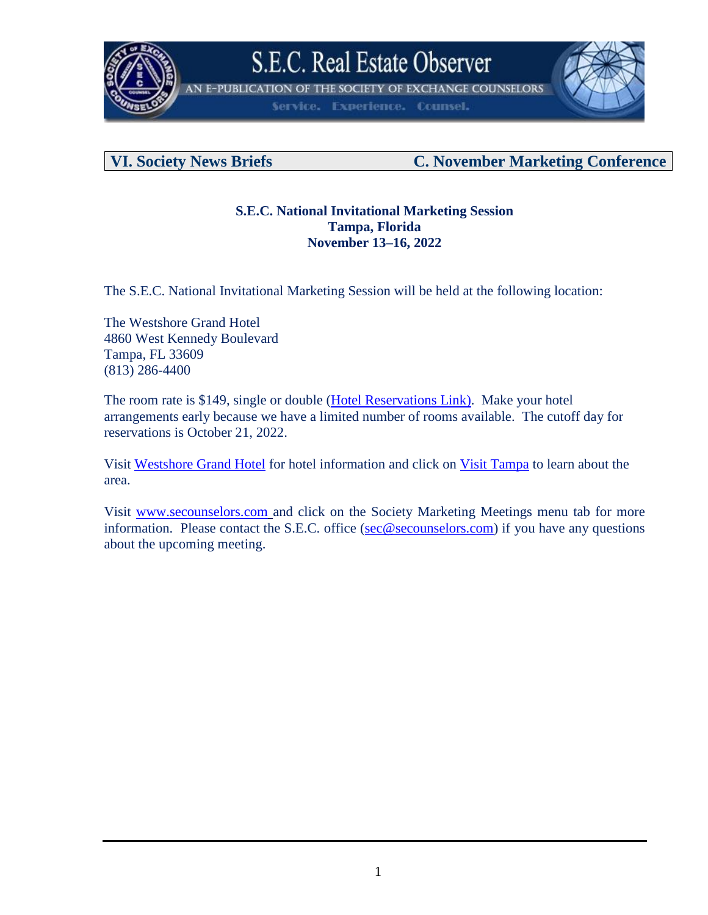

**N E-PUBLICATION OF THE SOCIETY OF EXCHANGE COUNSELORS** 

**Experience. Counsel.** Service.



### **VI. Society News Briefs C. November Marketing Conference**

### **S.E.C. National Invitational Marketing Session Tampa, Florida November 13–16, 2022**

The S.E.C. National Invitational Marketing Session will be held at the following location:

The Westshore Grand Hotel 4860 West Kennedy Boulevard Tampa, FL 33609 (813) 286-4400

The room rate is \$149, single or double [\(Hotel Reservations](https://westshoregrand.com/) Link). Make your hotel arrangements early because we have a limited number of rooms available. The cutoff day for reservations is October 21, 2022.

Visit [Westshore Grand Hotel](https://westshoregrand.com/) for hotel information and click on [Visit Tampa](https://www.visittampabay.com/) to learn about the area.

Visit [www.secounselors.com](http://www.secounselors.com/) and click on the Society Marketing Meetings menu tab for more information. Please contact the S.E.C. office [\(sec@secounselors.com\)](mailto:sec@secounselors.com) if you have any questions about the upcoming meeting.